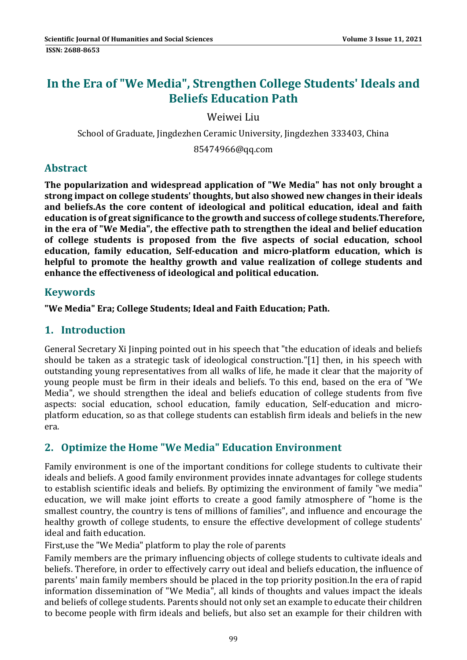# **In the Era of "We Media", Strengthen College Students' Ideals and Beliefs Education Path**

Weiwei Liu

School of Graduate, Jingdezhen Ceramic University, Jingdezhen 333403, China

85474966@qq.com 

# **Abstract**

**The popularization and widespread application of "We Media" has not only brought a strong impact on college students' thoughts, but also showed new changes in their ideals and beliefs.As the core content of ideological and political education, ideal and faith education is of great significance to the growth and success of college students.Therefore, in the era of "We Media", the effective path to strengthen the ideal and belief education of college students is proposed from the five aspects of social education, school education, family education, Self‐education and micro‐platform education, which is helpful to promote the healthy growth and value realization of college students and enhance the effectiveness of ideological and political education.**

## **Keywords**

**"We Media" Era; College Students; Ideal and Faith Education; Path.**

## **1. Introduction**

General Secretary Xi linping pointed out in his speech that "the education of ideals and beliefs should be taken as a strategic task of ideological construction."[1] then, in his speech with outstanding young representatives from all walks of life, he made it clear that the majority of young people must be firm in their ideals and beliefs. To this end, based on the era of "We Media", we should strengthen the ideal and beliefs education of college students from five aspects: social education, school education, family education, Self-education and microplatform education, so as that college students can establish firm ideals and beliefs in the new era. 

# **2. Optimize the Home "We Media" Education Environment**

Family environment is one of the important conditions for college students to cultivate their ideals and beliefs. A good family environment provides innate advantages for college students to establish scientific ideals and beliefs. By optimizing the environment of family "we media" education, we will make joint efforts to create a good family atmosphere of "home is the smallest country, the country is tens of millions of families", and influence and encourage the healthy growth of college students, to ensure the effective development of college students' ideal and faith education.

First, use the "We Media" platform to play the role of parents

Family members are the primary influencing objects of college students to cultivate ideals and beliefs. Therefore, in order to effectively carry out ideal and beliefs education, the influence of parents' main family members should be placed in the top priority position. In the era of rapid information dissemination of "We Media", all kinds of thoughts and values impact the ideals and beliefs of college students. Parents should not only set an example to educate their children to become people with firm ideals and beliefs, but also set an example for their children with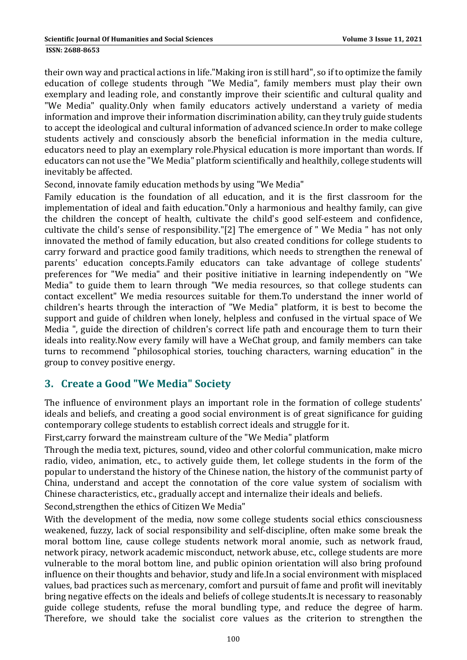**ISSN: 2688-8653** 

their own way and practical actions in life."Making iron is still hard", so if to optimize the family education of college students through "We Media", family members must play their own exemplary and leading role, and constantly improve their scientific and cultural quality and "We Media" quality. Only when family educators actively understand a variety of media information and improve their information discrimination ability, can they truly guide students to accept the ideological and cultural information of advanced science. In order to make college students actively and consciously absorb the beneficial information in the media culture, educators need to play an exemplary role.Physical education is more important than words. If educators can not use the "We Media" platform scientifically and healthily, college students will inevitably be affected.

Second, innovate family education methods by using "We Media"

Family education is the foundation of all education, and it is the first classroom for the implementation of ideal and faith education."Only a harmonious and healthy family, can give the children the concept of health, cultivate the child's good self-esteem and confidence, cultivate the child's sense of responsibility."[2] The emergence of " We Media " has not only innovated the method of family education, but also created conditions for college students to carry forward and practice good family traditions, which needs to strengthen the renewal of parents' education concepts.Family educators can take advantage of college students' preferences for "We media" and their positive initiative in learning independently on "We Media" to guide them to learn through "We media resources, so that college students can contact excellent" We media resources suitable for them.To understand the inner world of children's hearts through the interaction of "We Media" platform, it is best to become the support and guide of children when lonely, helpless and confused in the virtual space of We Media ", guide the direction of children's correct life path and encourage them to turn their ideals into reality.Now every family will have a WeChat group, and family members can take turns to recommend "philosophical stories, touching characters, warning education" in the group to convey positive energy.

# **3. Create a Good "We Media" Society**

The influence of environment plays an important role in the formation of college students' ideals and beliefs, and creating a good social environment is of great significance for guiding contemporary college students to establish correct ideals and struggle for it.

First, carry forward the mainstream culture of the "We Media" platform

Through the media text, pictures, sound, video and other colorful communication, make micro radio, video, animation, etc., to actively guide them, let college students in the form of the popular to understand the history of the Chinese nation, the history of the communist party of China, understand and accept the connotation of the core value system of socialism with Chinese characteristics, etc., gradually accept and internalize their ideals and beliefs.

Second, strengthen the ethics of Citizen We Media"

With the development of the media, now some college students social ethics consciousness weakened, fuzzy, lack of social responsibility and self-discipline, often make some break the moral bottom line, cause college students network moral anomie, such as network fraud, network piracy, network academic misconduct, network abuse, etc., college students are more vulnerable to the moral bottom line, and public opinion orientation will also bring profound influence on their thoughts and behavior, study and life. In a social environment with misplaced values, bad practices such as mercenary, comfort and pursuit of fame and profit will inevitably bring negative effects on the ideals and beliefs of college students.It is necessary to reasonably guide college students, refuse the moral bundling type, and reduce the degree of harm. Therefore, we should take the socialist core values as the criterion to strengthen the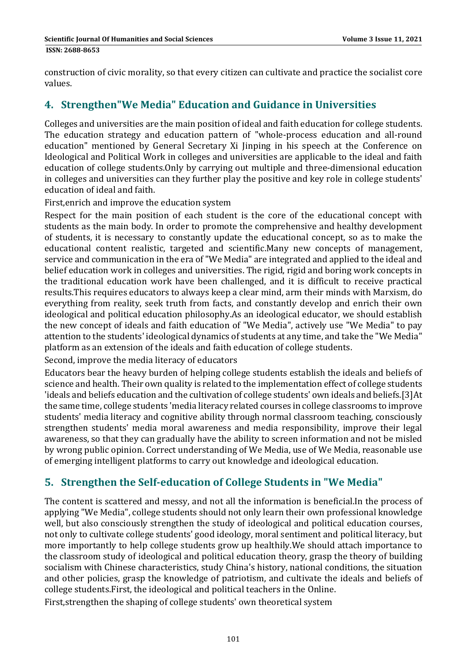construction of civic morality, so that every citizen can cultivate and practice the socialist core values. 

## **4. Strengthen"We Media" Education and Guidance in Universities**

Colleges and universities are the main position of ideal and faith education for college students. The education strategy and education pattern of "whole-process education and all-round education" mentioned by General Secretary Xi Jinping in his speech at the Conference on Ideological and Political Work in colleges and universities are applicable to the ideal and faith education of college students. Only by carrying out multiple and three-dimensional education in colleges and universities can they further play the positive and key role in college students' education of ideal and faith.

First, enrich and improve the education system

Respect for the main position of each student is the core of the educational concept with students as the main body. In order to promote the comprehensive and healthy development of students, it is necessary to constantly update the educational concept, so as to make the educational content realistic, targeted and scientific.Many new concepts of management, service and communication in the era of "We Media" are integrated and applied to the ideal and belief education work in colleges and universities. The rigid, rigid and boring work concepts in the traditional education work have been challenged, and it is difficult to receive practical results. This requires educators to always keep a clear mind, arm their minds with Marxism, do everything from reality, seek truth from facts, and constantly develop and enrich their own ideological and political education philosophy.As an ideological educator, we should establish the new concept of ideals and faith education of "We Media", actively use "We Media" to pay attention to the students' ideological dynamics of students at any time, and take the "We Media" platform as an extension of the ideals and faith education of college students.

Second, improve the media literacy of educators

Educators bear the heavy burden of helping college students establish the ideals and beliefs of science and health. Their own quality is related to the implementation effect of college students 'ideals and beliefs education and the cultivation of college students' own ideals and beliefs.[3]At the same time, college students 'media literacy related courses in college classrooms to improve students' media literacy and cognitive ability through normal classroom teaching, consciously strengthen students' media moral awareness and media responsibility, improve their legal awareness, so that they can gradually have the ability to screen information and not be misled by wrong public opinion. Correct understanding of We Media, use of We Media, reasonable use of emerging intelligent platforms to carry out knowledge and ideological education.

# **5. Strengthen the Self‐education of College Students in "We Media"**

The content is scattered and messy, and not all the information is beneficial. In the process of applying "We Media", college students should not only learn their own professional knowledge well, but also consciously strengthen the study of ideological and political education courses, not only to cultivate college students' good ideology, moral sentiment and political literacy, but more importantly to help college students grow up healthily. We should attach importance to the classroom study of ideological and political education theory, grasp the theory of building socialism with Chinese characteristics, study China's history, national conditions, the situation and other policies, grasp the knowledge of patriotism, and cultivate the ideals and beliefs of college students. First, the ideological and political teachers in the Online.

First, strengthen the shaping of college students' own theoretical system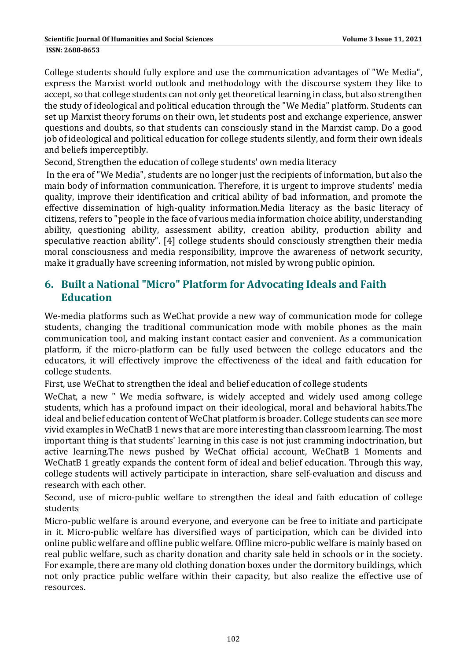College students should fully explore and use the communication advantages of "We Media", express the Marxist world outlook and methodology with the discourse system they like to accept, so that college students can not only get theoretical learning in class, but also strengthen the study of ideological and political education through the "We Media" platform. Students can set up Marxist theory forums on their own, let students post and exchange experience, answer questions and doubts, so that students can consciously stand in the Marxist camp. Do a good job of ideological and political education for college students silently, and form their own ideals and beliefs imperceptibly.

Second, Strengthen the education of college students' own media literacy

In the era of "We Media", students are no longer just the recipients of information, but also the main body of information communication. Therefore, it is urgent to improve students' media quality, improve their identification and critical ability of bad information, and promote the effective dissemination of high-quality information.Media literacy as the basic literacy of citizens, refers to "people in the face of various media information choice ability, understanding ability, questioning ability, assessment ability, creation ability, production ability and speculative reaction ability". [4] college students should consciously strengthen their media moral consciousness and media responsibility, improve the awareness of network security, make it gradually have screening information, not misled by wrong public opinion.

# **6. Built a National "Micro" Platform for Advocating Ideals and Faith Education**

We-media platforms such as WeChat provide a new way of communication mode for college students, changing the traditional communication mode with mobile phones as the main communication tool, and making instant contact easier and convenient. As a communication platform, if the micro-platform can be fully used between the college educators and the educators, it will effectively improve the effectiveness of the ideal and faith education for college students.

First, use WeChat to strengthen the ideal and belief education of college students

WeChat, a new " We media software, is widely accepted and widely used among college students, which has a profound impact on their ideological, moral and behavioral habits.The ideal and belief education content of WeChat platform is broader. College students can see more vivid examples in WeChatB 1 news that are more interesting than classroom learning. The most important thing is that students' learning in this case is not just cramming indoctrination, but active learning. The news pushed by WeChat official account, WeChatB 1 Moments and WeChatB 1 greatly expands the content form of ideal and belief education. Through this way, college students will actively participate in interaction, share self-evaluation and discuss and research with each other.

Second, use of micro-public welfare to strengthen the ideal and faith education of college students 

Micro-public welfare is around everyone, and everyone can be free to initiate and participate in it. Micro-public welfare has diversified ways of participation, which can be divided into online public welfare and offline public welfare. Offline micro-public welfare is mainly based on real public welfare, such as charity donation and charity sale held in schools or in the society. For example, there are many old clothing donation boxes under the dormitory buildings, which not only practice public welfare within their capacity, but also realize the effective use of resources.